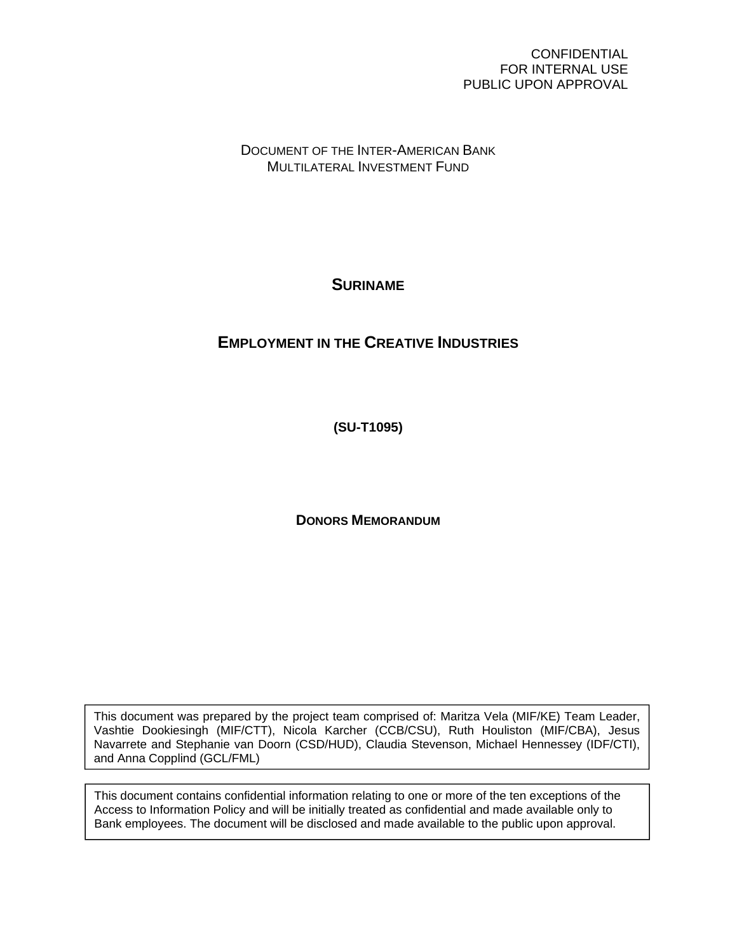**CONFIDENTIAL** FOR INTERNAL USE PUBLIC UPON APPROVAL

DOCUMENT OF THE INTER-AMERICAN BANK MULTILATERAL INVESTMENT FUND

# **SURINAME**

# **EMPLOYMENT IN THE CREATIVE INDUSTRIES**

**(SU-T1095)** 

**DONORS MEMORANDUM**

This document was prepared by the project team comprised of: Maritza Vela (MIF/KE) Team Leader, Vashtie Dookiesingh (MIF/CTT), Nicola Karcher (CCB/CSU), Ruth Houliston (MIF/CBA), Jesus Navarrete and Stephanie van Doorn (CSD/HUD), Claudia Stevenson, Michael Hennessey (IDF/CTI), and Anna Copplind (GCL/FML)

This document contains confidential information relating to one or more of the ten exceptions of the Access to Information Policy and will be initially treated as confidential and made available only to Bank employees. The document will be disclosed and made available to the public upon approval.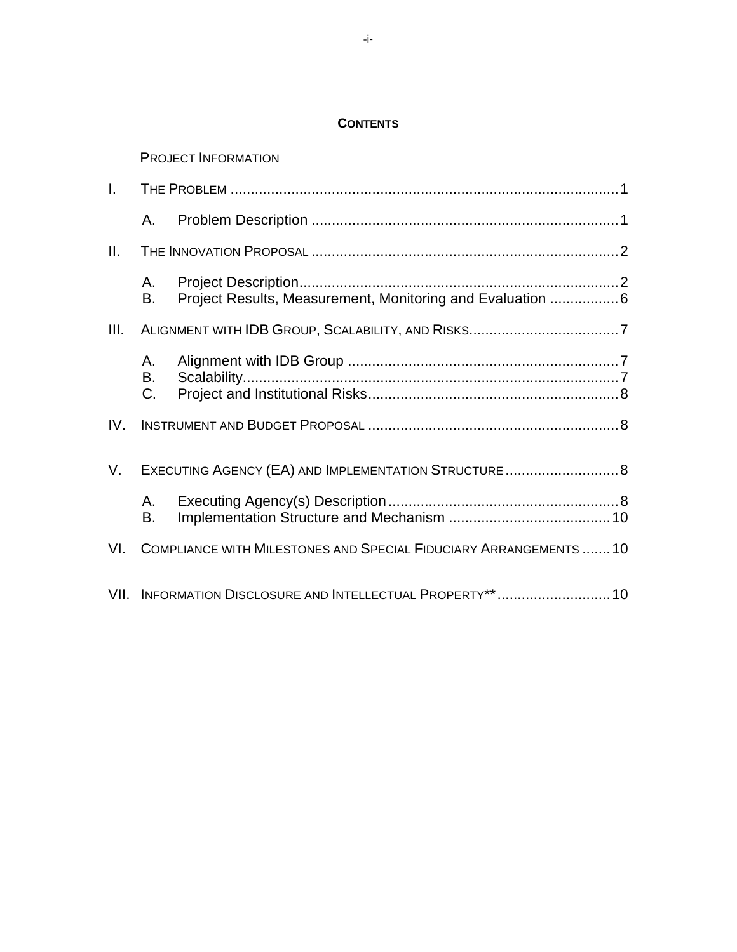## **CONTENTS**

| $\mathbf{L}$ |                                                                   |                                                            |  |  |
|--------------|-------------------------------------------------------------------|------------------------------------------------------------|--|--|
|              | Α.                                                                |                                                            |  |  |
| $\Pi$ .      |                                                                   |                                                            |  |  |
|              | А.<br>B.                                                          | Project Results, Measurement, Monitoring and Evaluation  6 |  |  |
| III.         |                                                                   |                                                            |  |  |
|              | Α.<br>В.<br>C.                                                    |                                                            |  |  |
| IV.          |                                                                   |                                                            |  |  |
| V.           | EXECUTING AGENCY (EA) AND IMPLEMENTATION STRUCTURE  8             |                                                            |  |  |
|              | Α.<br>В.                                                          |                                                            |  |  |
| VI.          | COMPLIANCE WITH MILESTONES AND SPECIAL FIDUCIARY ARRANGEMENTS  10 |                                                            |  |  |
|              |                                                                   | VII. INFORMATION DISCLOSURE AND INTELLECTUAL PROPERTY** 10 |  |  |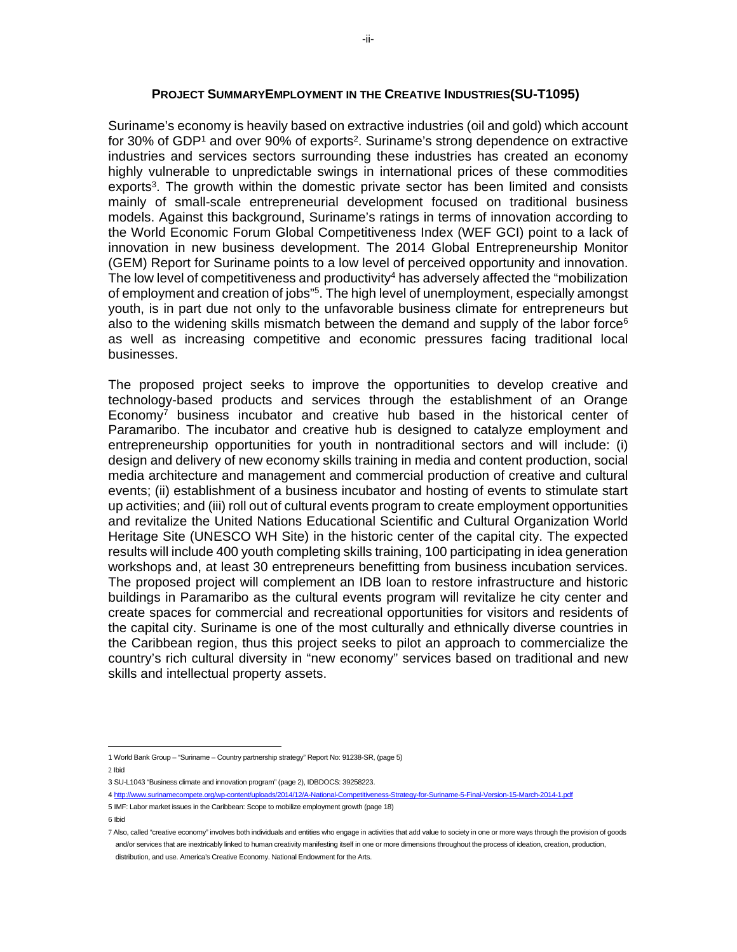#### **PROJECT SUMMARYEMPLOYMENT IN THE CREATIVE INDUSTRIES(SU-T1095)**

Suriname's economy is heavily based on extractive industries (oil and gold) which account for 30% of GDP<sup>1</sup> and over 90% of exports<sup>2</sup>. Suriname's strong dependence on extractive industries and services sectors surrounding these industries has created an economy highly vulnerable to unpredictable swings in international prices of these commodities exports<sup>3</sup>. The growth within the domestic private sector has been limited and consists mainly of small-scale entrepreneurial development focused on traditional business models. Against this background, Suriname's ratings in terms of innovation according to the World Economic Forum Global Competitiveness Index (WEF GCI) point to a lack of innovation in new business development. The 2014 Global Entrepreneurship Monitor (GEM) Report for Suriname points to a low level of perceived opportunity and innovation. The low level of competitiveness and productivity<sup>4</sup> has adversely affected the "mobilization of employment and creation of jobs"5. The high level of unemployment, especially amongst youth, is in part due not only to the unfavorable business climate for entrepreneurs but also to the widening skills mismatch between the demand and supply of the labor force<sup>6</sup> as well as increasing competitive and economic pressures facing traditional local businesses.

The proposed project seeks to improve the opportunities to develop creative and technology-based products and services through the establishment of an Orange Economy7 business incubator and creative hub based in the historical center of Paramaribo. The incubator and creative hub is designed to catalyze employment and entrepreneurship opportunities for youth in nontraditional sectors and will include: (i) design and delivery of new economy skills training in media and content production, social media architecture and management and commercial production of creative and cultural events; (ii) establishment of a business incubator and hosting of events to stimulate start up activities; and (iii) roll out of cultural events program to create employment opportunities and revitalize the United Nations Educational Scientific and Cultural Organization World Heritage Site (UNESCO WH Site) in the historic center of the capital city. The expected results will include 400 youth completing skills training, 100 participating in idea generation workshops and, at least 30 entrepreneurs benefitting from business incubation services. The proposed project will complement an IDB loan to restore infrastructure and historic buildings in Paramaribo as the cultural events program will revitalize he city center and create spaces for commercial and recreational opportunities for visitors and residents of the capital city. Suriname is one of the most culturally and ethnically diverse countries in the Caribbean region, thus this project seeks to pilot an approach to commercialize the country's rich cultural diversity in "new economy" services based on traditional and new skills and intellectual property assets.

2 Ibid

6 Ibid

 $\overline{a}$ 1 World Bank Group – "Suriname – Country partnership strategy" Report No: 91238-SR, (page 5)

<sup>3</sup> SU-L1043 "Business climate and innovation program" (page 2), IDBDOCS: 39258223.

<sup>4</sup> http://www.surinamecompete.org/wp-content/uploads/2014/12/A-National-Competitiveness-Strategy-for-Suriname-5-Final-Version-15-March-2014-1.pdf

<sup>5</sup> IMF: Labor market issues in the Caribbean: Scope to mobilize employment growth (page 18)

<sup>7</sup> Also, called "creative economy" involves both individuals and entities who engage in activities that add value to society in one or more ways through the provision of goods and/or services that are inextricably linked to human creativity manifesting itself in one or more dimensions throughout the process of ideation, creation, production, distribution, and use. America's Creative Economy. National Endowment for the Arts.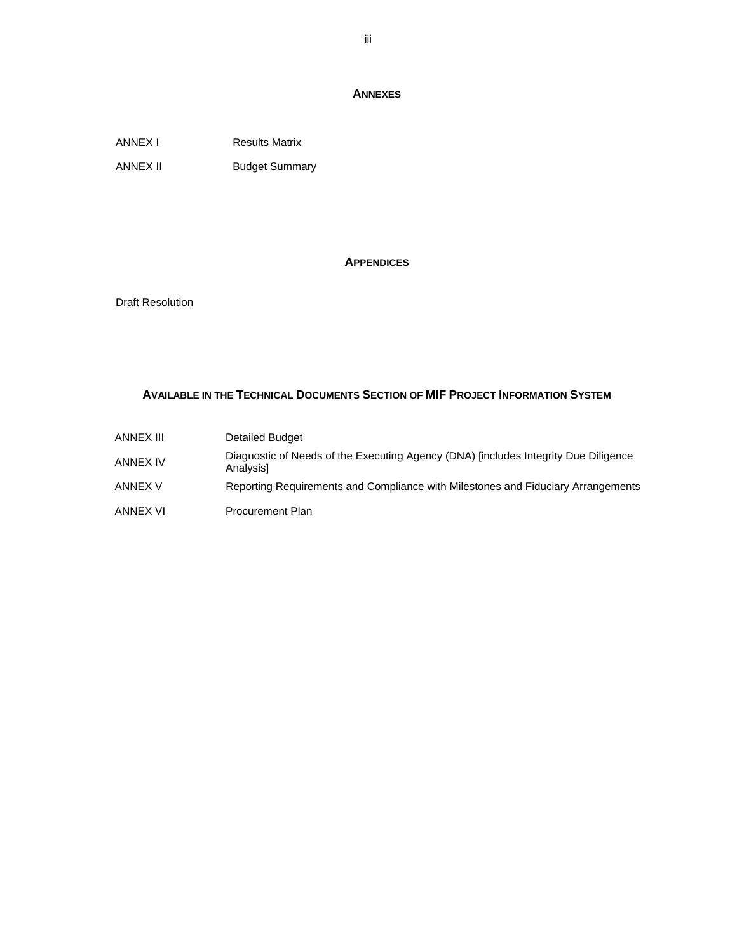#### **ANNEXES**

ANNEX I Results Matrix

ANNEX II Budget Summary

#### **APPENDICES**

Draft Resolution

## **AVAILABLE IN THE TECHNICAL DOCUMENTS SECTION OF MIF PROJECT INFORMATION SYSTEM**

| ANNEX III       | Detailed Budget                                                                                  |
|-----------------|--------------------------------------------------------------------------------------------------|
| <b>ANNEX IV</b> | Diagnostic of Needs of the Executing Agency (DNA) [includes Integrity Due Diligence<br>Analysisl |
| <b>ANNEX V</b>  | Reporting Requirements and Compliance with Milestones and Fiduciary Arrangements                 |
| ANNEX VI        | <b>Procurement Plan</b>                                                                          |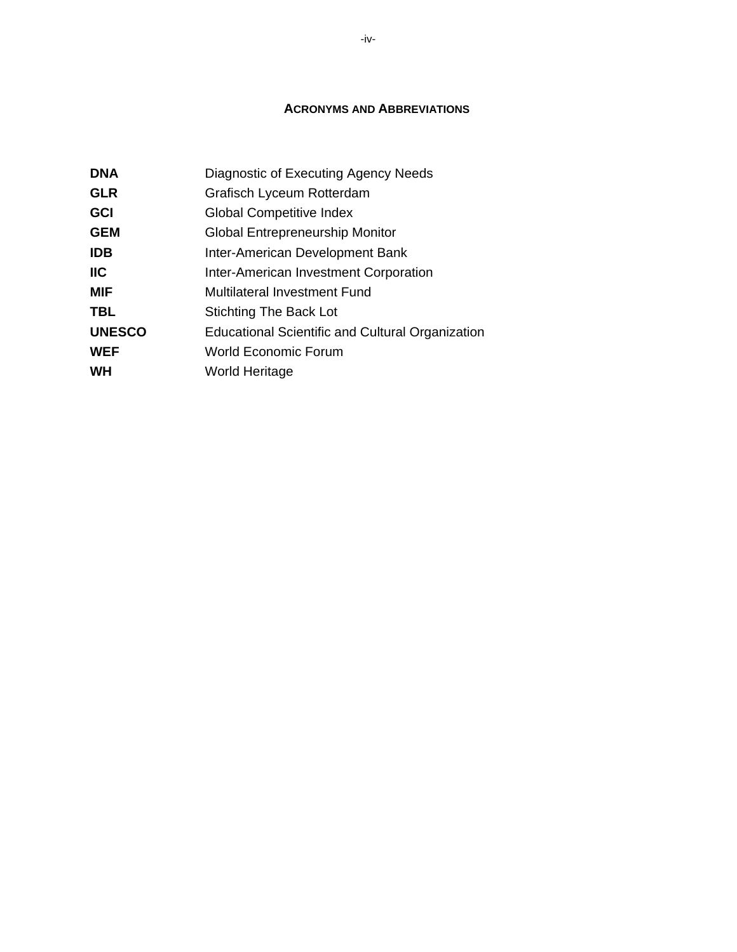#### **ACRONYMS AND ABBREVIATIONS**

| <b>DNA</b>    | Diagnostic of Executing Agency Needs                    |
|---------------|---------------------------------------------------------|
| <b>GLR</b>    | Grafisch Lyceum Rotterdam                               |
| <b>GCI</b>    | <b>Global Competitive Index</b>                         |
| <b>GEM</b>    | <b>Global Entrepreneurship Monitor</b>                  |
| IDB           | Inter-American Development Bank                         |
| <b>IIC</b>    | Inter-American Investment Corporation                   |
| MIF           | Multilateral Investment Fund                            |
| TBL           | <b>Stichting The Back Lot</b>                           |
| <b>UNESCO</b> | <b>Educational Scientific and Cultural Organization</b> |
| <b>WEF</b>    | <b>World Economic Forum</b>                             |
| WН            | World Heritage                                          |
|               |                                                         |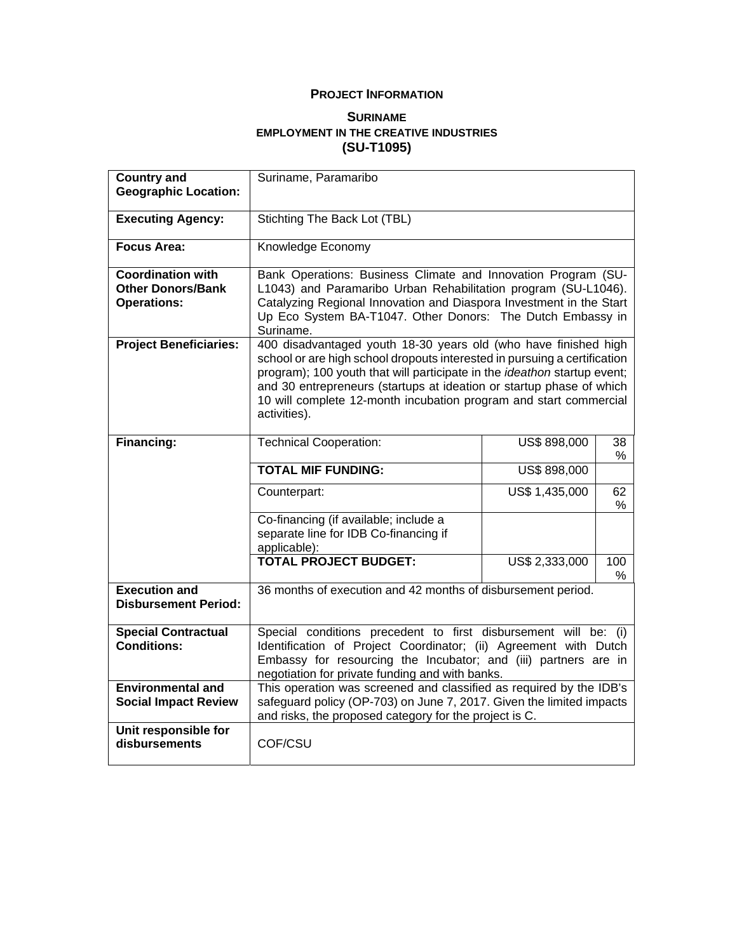### **PROJECT INFORMATION**

#### **SURINAME EMPLOYMENT IN THE CREATIVE INDUSTRIES (SU-T1095)**

| <b>Country and</b><br><b>Geographic Location:</b>                          | Suriname, Paramaribo                                                                                                                                                                                                                                                                                                                                                                  |                |          |  |  |
|----------------------------------------------------------------------------|---------------------------------------------------------------------------------------------------------------------------------------------------------------------------------------------------------------------------------------------------------------------------------------------------------------------------------------------------------------------------------------|----------------|----------|--|--|
| <b>Executing Agency:</b>                                                   | Stichting The Back Lot (TBL)                                                                                                                                                                                                                                                                                                                                                          |                |          |  |  |
| <b>Focus Area:</b>                                                         | Knowledge Economy                                                                                                                                                                                                                                                                                                                                                                     |                |          |  |  |
| <b>Coordination with</b><br><b>Other Donors/Bank</b><br><b>Operations:</b> | Bank Operations: Business Climate and Innovation Program (SU-<br>L1043) and Paramaribo Urban Rehabilitation program (SU-L1046).<br>Catalyzing Regional Innovation and Diaspora Investment in the Start<br>Up Eco System BA-T1047. Other Donors: The Dutch Embassy in<br>Suriname.                                                                                                     |                |          |  |  |
| <b>Project Beneficiaries:</b>                                              | 400 disadvantaged youth 18-30 years old (who have finished high<br>school or are high school dropouts interested in pursuing a certification<br>program); 100 youth that will participate in the ideathon startup event;<br>and 30 entrepreneurs (startups at ideation or startup phase of which<br>10 will complete 12-month incubation program and start commercial<br>activities). |                |          |  |  |
| Financing:                                                                 | <b>Technical Cooperation:</b>                                                                                                                                                                                                                                                                                                                                                         | US\$ 898,000   | 38<br>℅  |  |  |
|                                                                            | <b>TOTAL MIF FUNDING:</b>                                                                                                                                                                                                                                                                                                                                                             | US\$ 898,000   |          |  |  |
|                                                                            | Counterpart:                                                                                                                                                                                                                                                                                                                                                                          | US\$ 1,435,000 | 62<br>%  |  |  |
|                                                                            | Co-financing (if available; include a<br>separate line for IDB Co-financing if<br>applicable):                                                                                                                                                                                                                                                                                        |                |          |  |  |
|                                                                            | <b>TOTAL PROJECT BUDGET:</b>                                                                                                                                                                                                                                                                                                                                                          | US\$ 2,333,000 | 100<br>℅ |  |  |
| <b>Execution and</b><br><b>Disbursement Period:</b>                        | 36 months of execution and 42 months of disbursement period.                                                                                                                                                                                                                                                                                                                          |                |          |  |  |
| <b>Special Contractual</b><br><b>Conditions:</b>                           | Special conditions precedent to first disbursement will be: (i)<br>Identification of Project Coordinator; (ii) Agreement with Dutch<br>Embassy for resourcing the Incubator; and (iii) partners are in<br>negotiation for private funding and with banks.                                                                                                                             |                |          |  |  |
| <b>Environmental and</b><br><b>Social Impact Review</b>                    | This operation was screened and classified as required by the IDB's<br>safeguard policy (OP-703) on June 7, 2017. Given the limited impacts<br>and risks, the proposed category for the project is C.                                                                                                                                                                                 |                |          |  |  |
| Unit responsible for<br>disbursements                                      | COF/CSU                                                                                                                                                                                                                                                                                                                                                                               |                |          |  |  |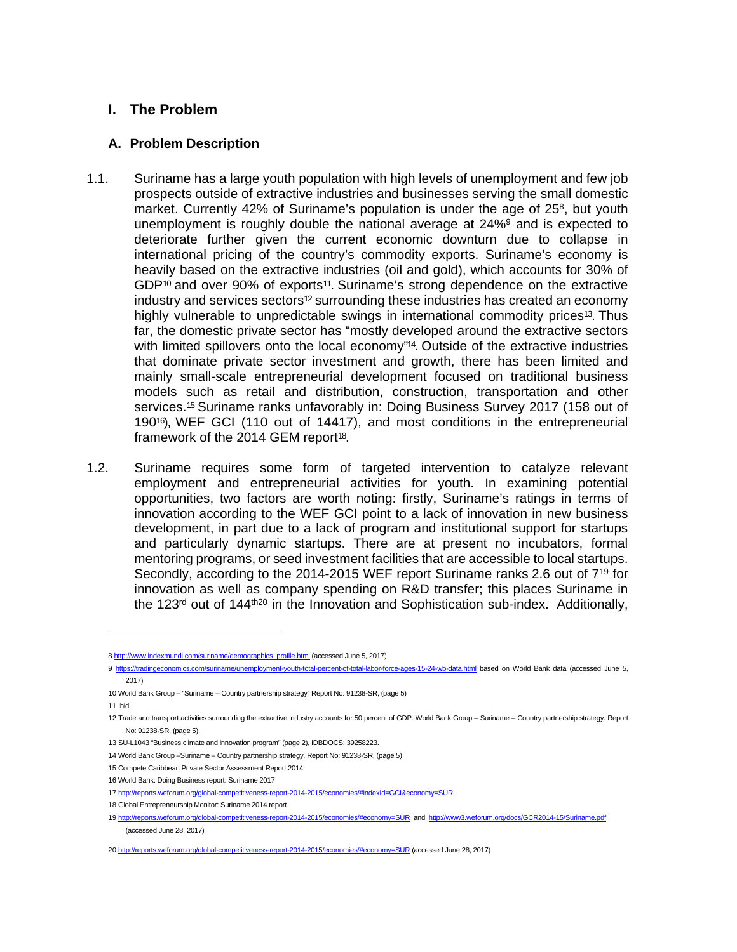### **I. The Problem**

#### **A. Problem Description**

- 1.1. Suriname has a large youth population with high levels of unemployment and few job prospects outside of extractive industries and businesses serving the small domestic market. Currently 42% of Suriname's population is under the age of 258, but youth unemployment is roughly double the national average at  $24\%^9$  and is expected to deteriorate further given the current economic downturn due to collapse in international pricing of the country's commodity exports. Suriname's economy is heavily based on the extractive industries (oil and gold), which accounts for 30% of GDP<sup>10</sup> and over 90% of exports11. Suriname's strong dependence on the extractive  $industry$  and services sectors<sup>12</sup> surrounding these industries has created an economy highly vulnerable to unpredictable swings in international commodity prices13. Thus far, the domestic private sector has "mostly developed around the extractive sectors with limited spillovers onto the local economy<sup>-14</sup>. Outside of the extractive industries that dominate private sector investment and growth, there has been limited and mainly small-scale entrepreneurial development focused on traditional business models such as retail and distribution, construction, transportation and other services.<sup>15</sup> Suriname ranks unfavorably in: Doing Business Survey 2017 (158 out of 19016), WEF GCI (110 out of 14417), and most conditions in the entrepreneurial framework of the 2014 GEM report<sup>18</sup>.
- 1.2. Suriname requires some form of targeted intervention to catalyze relevant employment and entrepreneurial activities for youth. In examining potential opportunities, two factors are worth noting: firstly, Suriname's ratings in terms of innovation according to the WEF GCI point to a lack of innovation in new business development, in part due to a lack of program and institutional support for startups and particularly dynamic startups. There are at present no incubators, formal mentoring programs, or seed investment facilities that are accessible to local startups. Secondly, according to the 2014-2015 WEF report Suriname ranks 2.6 out of 719 for innovation as well as company spending on R&D transfer; this places Suriname in the 123<sup>rd</sup> out of 144<sup>th 20</sup> in the Innovation and Sophistication sub-index. Additionally,

 $\overline{a}$ 

<sup>8</sup> http://www.indexmundi.com/suriname/demographics\_profile.html (accessed June 5, 2017)

<sup>9</sup> https://tradingeconomics.com/suriname/unemployment-youth-total-percent-of-total-labor-force-ages-15-24-wb-data.html</u> based on World Bank data (accessed June 5, 2017)

<sup>10</sup> World Bank Group – "Suriname – Country partnership strategy" Report No: 91238-SR, (page 5)

<sup>11</sup> Ibid

<sup>12</sup> Trade and transport activities surrounding the extractive industry accounts for 50 percent of GDP. World Bank Group – Suriname – Country partnership strategy. Report No: 91238-SR, (page 5).

<sup>13</sup> SU-L1043 "Business climate and innovation program" (page 2), IDBDOCS: 39258223.

<sup>14</sup> World Bank Group –Suriname – Country partnership strategy. Report No: 91238-SR, (page 5)

<sup>15</sup> Compete Caribbean Private Sector Assessment Report 2014

<sup>16</sup> World Bank: Doing Business report: Suriname 2017

<sup>17</sup> http://reports.weforum.org/global-competitiveness-report-2014-2015/economies/#indexId=GCI&economy=SUR

<sup>18</sup> Global Entrepreneurship Monitor: Suriname 2014 report

<sup>19</sup> http://reports.weforum.org/global-competitiveness-report-2014-2015/economies/#economy=SUR and http://www3.weforum.org/docs/GCR2014-15/Suriname.pdf (accessed June 28, 2017)

<sup>20</sup> http://reports.weforum.org/global-competitiveness-report-2014-2015/economies/#economy=SUR (accessed June 28, 2017)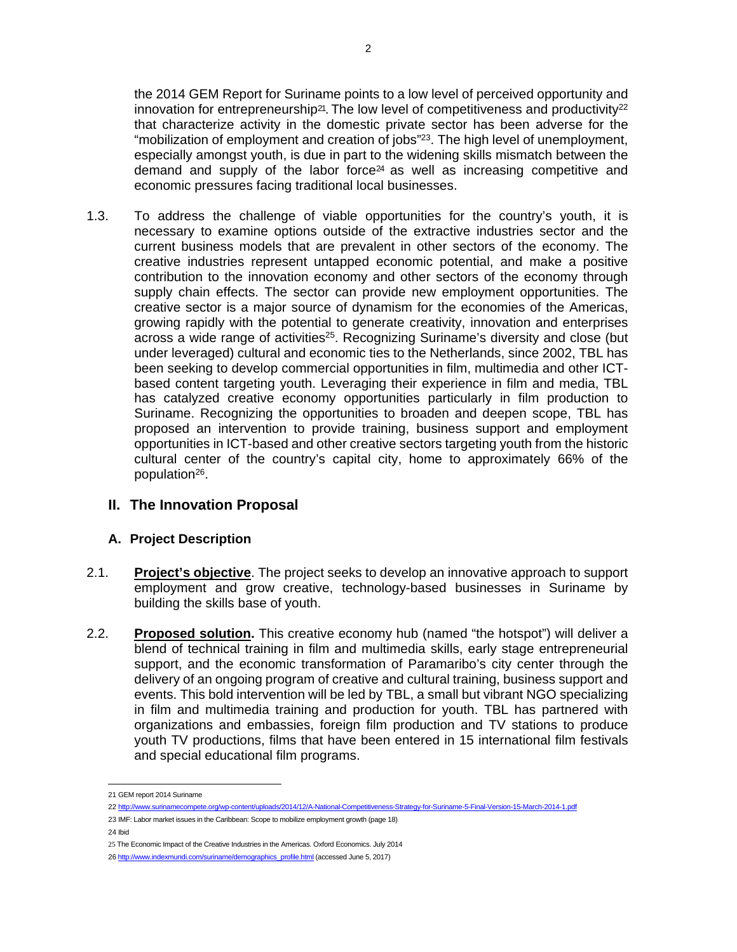the 2014 GEM Report for Suriname points to a low level of perceived opportunity and innovation for entrepreneurship<sup>21</sup>. The low level of competitiveness and productivity<sup>22</sup> that characterize activity in the domestic private sector has been adverse for the "mobilization of employment and creation of jobs"23. The high level of unemployment, especially amongst youth, is due in part to the widening skills mismatch between the demand and supply of the labor force<sup>24</sup> as well as increasing competitive and economic pressures facing traditional local businesses.

1.3. To address the challenge of viable opportunities for the country's youth, it is necessary to examine options outside of the extractive industries sector and the current business models that are prevalent in other sectors of the economy. The creative industries represent untapped economic potential, and make a positive contribution to the innovation economy and other sectors of the economy through supply chain effects. The sector can provide new employment opportunities. The creative sector is a major source of dynamism for the economies of the Americas, growing rapidly with the potential to generate creativity, innovation and enterprises across a wide range of activities<sup>25</sup>. Recognizing Suriname's diversity and close (but under leveraged) cultural and economic ties to the Netherlands, since 2002, TBL has been seeking to develop commercial opportunities in film, multimedia and other ICTbased content targeting youth. Leveraging their experience in film and media, TBL has catalyzed creative economy opportunities particularly in film production to Suriname. Recognizing the opportunities to broaden and deepen scope, TBL has proposed an intervention to provide training, business support and employment opportunities in ICT-based and other creative sectors targeting youth from the historic cultural center of the country's capital city, home to approximately 66% of the population26.

## **II. The Innovation Proposal**

#### **A. Project Description**

- 2.1. **Project's objective**. The project seeks to develop an innovative approach to support employment and grow creative, technology-based businesses in Suriname by building the skills base of youth.
- 2.2. **Proposed solution.** This creative economy hub (named "the hotspot") will deliver a blend of technical training in film and multimedia skills, early stage entrepreneurial support, and the economic transformation of Paramaribo's city center through the delivery of an ongoing program of creative and cultural training, business support and events. This bold intervention will be led by TBL, a small but vibrant NGO specializing in film and multimedia training and production for youth. TBL has partnered with organizations and embassies, foreign film production and TV stations to produce youth TV productions, films that have been entered in 15 international film festivals and special educational film programs.

 21 GEM report 2014 Suriname

<sup>22</sup> http://www.surinamecompete.org/wp-content/uploads/2014/12/A-National-Competitiveness-Strategy-for-Suriname-5-Final-Version-15-March-2014-1.pdf

<sup>23</sup> IMF: Labor market issues in the Caribbean: Scope to mobilize employment growth (page 18) 24 Ibid

<sup>25</sup> The Economic Impact of the Creative Industries in the Americas. Oxford Economics. July 2014

<sup>26</sup> http://www.indexmundi.com/suriname/demographics\_profile.html (accessed June 5, 2017)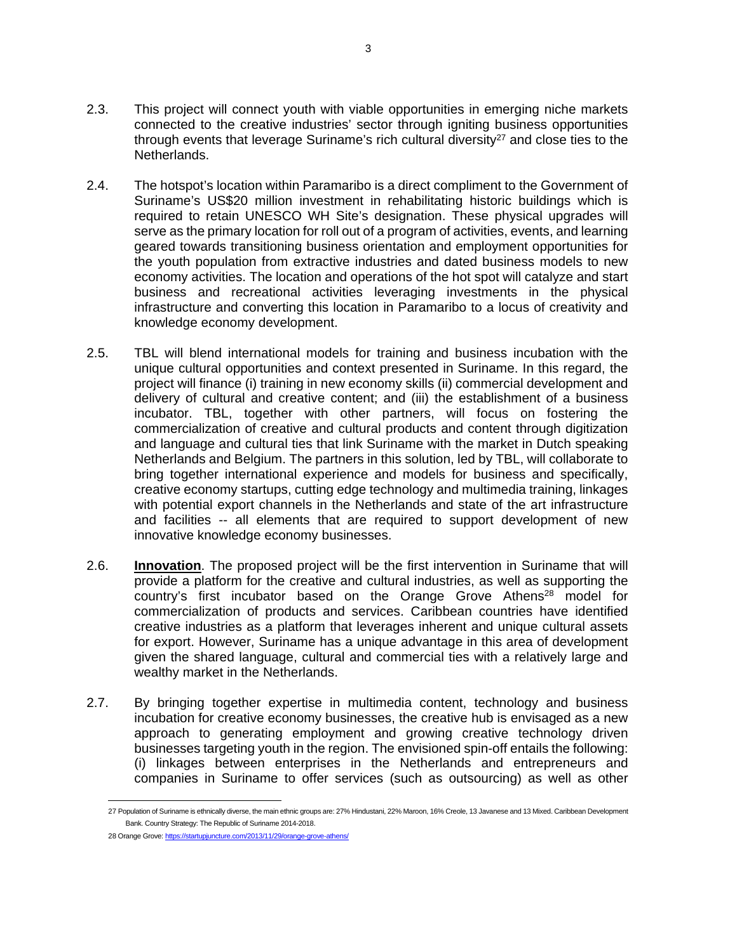- 2.3. This project will connect youth with viable opportunities in emerging niche markets connected to the creative industries' sector through igniting business opportunities through events that leverage Suriname's rich cultural diversity<sup>27</sup> and close ties to the Netherlands.
- 2.4. The hotspot's location within Paramaribo is a direct compliment to the Government of Suriname's US\$20 million investment in rehabilitating historic buildings which is required to retain UNESCO WH Site's designation. These physical upgrades will serve as the primary location for roll out of a program of activities, events, and learning geared towards transitioning business orientation and employment opportunities for the youth population from extractive industries and dated business models to new economy activities. The location and operations of the hot spot will catalyze and start business and recreational activities leveraging investments in the physical infrastructure and converting this location in Paramaribo to a locus of creativity and knowledge economy development.
- 2.5. TBL will blend international models for training and business incubation with the unique cultural opportunities and context presented in Suriname. In this regard, the project will finance (i) training in new economy skills (ii) commercial development and delivery of cultural and creative content; and (iii) the establishment of a business incubator. TBL, together with other partners, will focus on fostering the commercialization of creative and cultural products and content through digitization and language and cultural ties that link Suriname with the market in Dutch speaking Netherlands and Belgium. The partners in this solution, led by TBL, will collaborate to bring together international experience and models for business and specifically, creative economy startups, cutting edge technology and multimedia training, linkages with potential export channels in the Netherlands and state of the art infrastructure and facilities -- all elements that are required to support development of new innovative knowledge economy businesses.
- 2.6. **Innovation**. The proposed project will be the first intervention in Suriname that will provide a platform for the creative and cultural industries, as well as supporting the country's first incubator based on the Orange Grove Athens<sup>28</sup> model for commercialization of products and services. Caribbean countries have identified creative industries as a platform that leverages inherent and unique cultural assets for export. However, Suriname has a unique advantage in this area of development given the shared language, cultural and commercial ties with a relatively large and wealthy market in the Netherlands.
- 2.7. By bringing together expertise in multimedia content, technology and business incubation for creative economy businesses, the creative hub is envisaged as a new approach to generating employment and growing creative technology driven businesses targeting youth in the region. The envisioned spin-off entails the following: (i) linkages between enterprises in the Netherlands and entrepreneurs and companies in Suriname to offer services (such as outsourcing) as well as other

 27 Population of Suriname is ethnically diverse, the main ethnic groups are: 27% Hindustani, 22% Maroon, 16% Creole, 13 Javanese and 13 Mixed. Caribbean Development Bank. Country Strategy: The Republic of Suriname 2014-2018.

<sup>28</sup> Orange Grove: https://startupjuncture.com/2013/11/29/orange-grove-athens/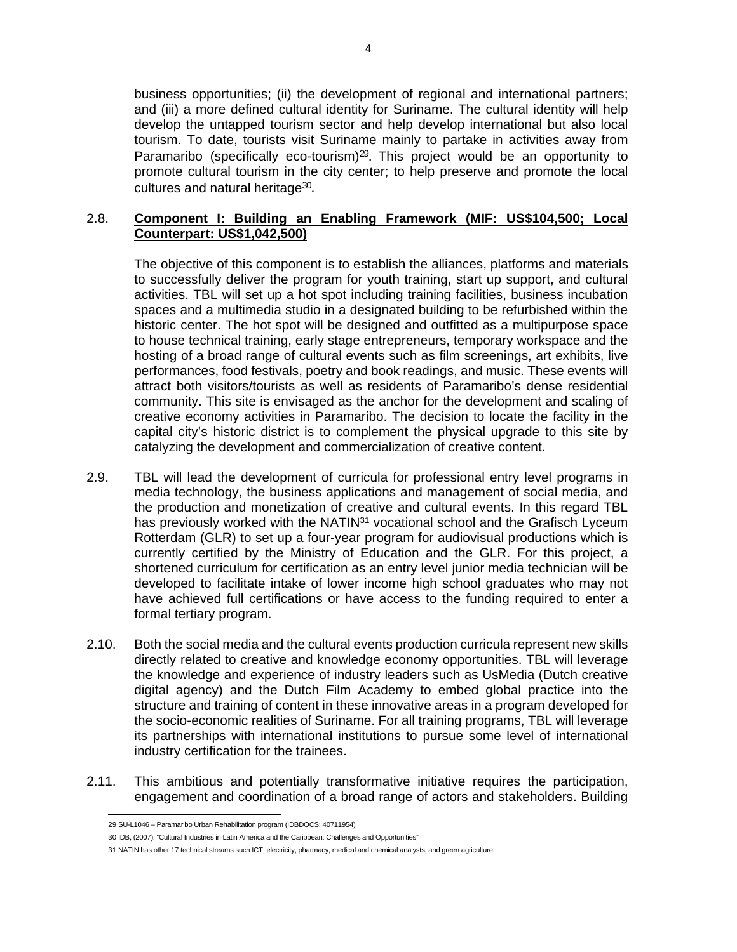business opportunities; (ii) the development of regional and international partners; and (iii) a more defined cultural identity for Suriname. The cultural identity will help develop the untapped tourism sector and help develop international but also local tourism. To date, tourists visit Suriname mainly to partake in activities away from Paramaribo (specifically eco-tourism) $29$ . This project would be an opportunity to promote cultural tourism in the city center; to help preserve and promote the local cultures and natural heritage30.

#### 2.8. **Component I: Building an Enabling Framework (MIF: US\$104,500; Local Counterpart: US\$1,042,500)**

The objective of this component is to establish the alliances, platforms and materials to successfully deliver the program for youth training, start up support, and cultural activities. TBL will set up a hot spot including training facilities, business incubation spaces and a multimedia studio in a designated building to be refurbished within the historic center. The hot spot will be designed and outfitted as a multipurpose space to house technical training, early stage entrepreneurs, temporary workspace and the hosting of a broad range of cultural events such as film screenings, art exhibits, live performances, food festivals, poetry and book readings, and music. These events will attract both visitors/tourists as well as residents of Paramaribo's dense residential community. This site is envisaged as the anchor for the development and scaling of creative economy activities in Paramaribo. The decision to locate the facility in the capital city's historic district is to complement the physical upgrade to this site by catalyzing the development and commercialization of creative content.

- 2.9. TBL will lead the development of curricula for professional entry level programs in media technology, the business applications and management of social media, and the production and monetization of creative and cultural events. In this regard TBL has previously worked with the NATIN<sup>31</sup> vocational school and the Grafisch Lyceum Rotterdam (GLR) to set up a four-year program for audiovisual productions which is currently certified by the Ministry of Education and the GLR. For this project, a shortened curriculum for certification as an entry level junior media technician will be developed to facilitate intake of lower income high school graduates who may not have achieved full certifications or have access to the funding required to enter a formal tertiary program.
- 2.10. Both the social media and the cultural events production curricula represent new skills directly related to creative and knowledge economy opportunities. TBL will leverage the knowledge and experience of industry leaders such as UsMedia (Dutch creative digital agency) and the Dutch Film Academy to embed global practice into the structure and training of content in these innovative areas in a program developed for the socio-economic realities of Suriname. For all training programs, TBL will leverage its partnerships with international institutions to pursue some level of international industry certification for the trainees.
- 2.11. This ambitious and potentially transformative initiative requires the participation, engagement and coordination of a broad range of actors and stakeholders. Building

 29 SU-L1046 – Paramaribo Urban Rehabilitation program (IDBDOCS: 40711954)

<sup>30</sup> IDB, (2007), "Cultural Industries in Latin America and the Caribbean: Challenges and Opportunities"

<sup>31</sup> NATIN has other 17 technical streams such ICT, electricity, pharmacy, medical and chemical analysts, and green agriculture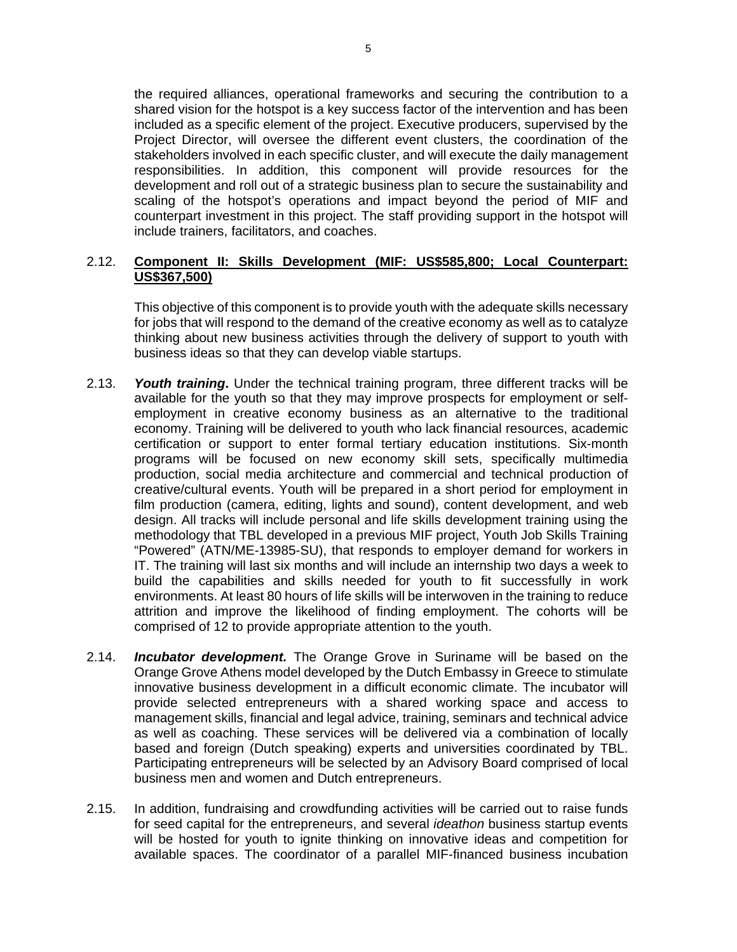the required alliances, operational frameworks and securing the contribution to a shared vision for the hotspot is a key success factor of the intervention and has been included as a specific element of the project. Executive producers, supervised by the Proiect Director, will oversee the different event clusters, the coordination of the stakeholders involved in each specific cluster, and will execute the daily management responsibilities. In addition, this component will provide resources for the development and roll out of a strategic business plan to secure the sustainability and scaling of the hotspot's operations and impact beyond the period of MIF and counterpart investment in this project. The staff providing support in the hotspot will include trainers, facilitators, and coaches.

#### 2.12. **Component II: Skills Development (MIF: US\$585,800; Local Counterpart: US\$367,500)**

This objective of this component is to provide youth with the adequate skills necessary for jobs that will respond to the demand of the creative economy as well as to catalyze thinking about new business activities through the delivery of support to youth with business ideas so that they can develop viable startups.

- 2.13. *Youth training***.** Under the technical training program, three different tracks will be available for the youth so that they may improve prospects for employment or selfemployment in creative economy business as an alternative to the traditional economy. Training will be delivered to youth who lack financial resources, academic certification or support to enter formal tertiary education institutions. Six-month programs will be focused on new economy skill sets, specifically multimedia production, social media architecture and commercial and technical production of creative/cultural events. Youth will be prepared in a short period for employment in film production (camera, editing, lights and sound), content development, and web design. All tracks will include personal and life skills development training using the methodology that TBL developed in a previous MIF project, Youth Job Skills Training "Powered" (ATN/ME-13985-SU), that responds to employer demand for workers in IT. The training will last six months and will include an internship two days a week to build the capabilities and skills needed for youth to fit successfully in work environments. At least 80 hours of life skills will be interwoven in the training to reduce attrition and improve the likelihood of finding employment. The cohorts will be comprised of 12 to provide appropriate attention to the youth.
- 2.14. *Incubator development.* The Orange Grove in Suriname will be based on the Orange Grove Athens model developed by the Dutch Embassy in Greece to stimulate innovative business development in a difficult economic climate. The incubator will provide selected entrepreneurs with a shared working space and access to management skills, financial and legal advice, training, seminars and technical advice as well as coaching. These services will be delivered via a combination of locally based and foreign (Dutch speaking) experts and universities coordinated by TBL. Participating entrepreneurs will be selected by an Advisory Board comprised of local business men and women and Dutch entrepreneurs.
- 2.15. In addition, fundraising and crowdfunding activities will be carried out to raise funds for seed capital for the entrepreneurs, and several *ideathon* business startup events will be hosted for youth to ignite thinking on innovative ideas and competition for available spaces. The coordinator of a parallel MIF-financed business incubation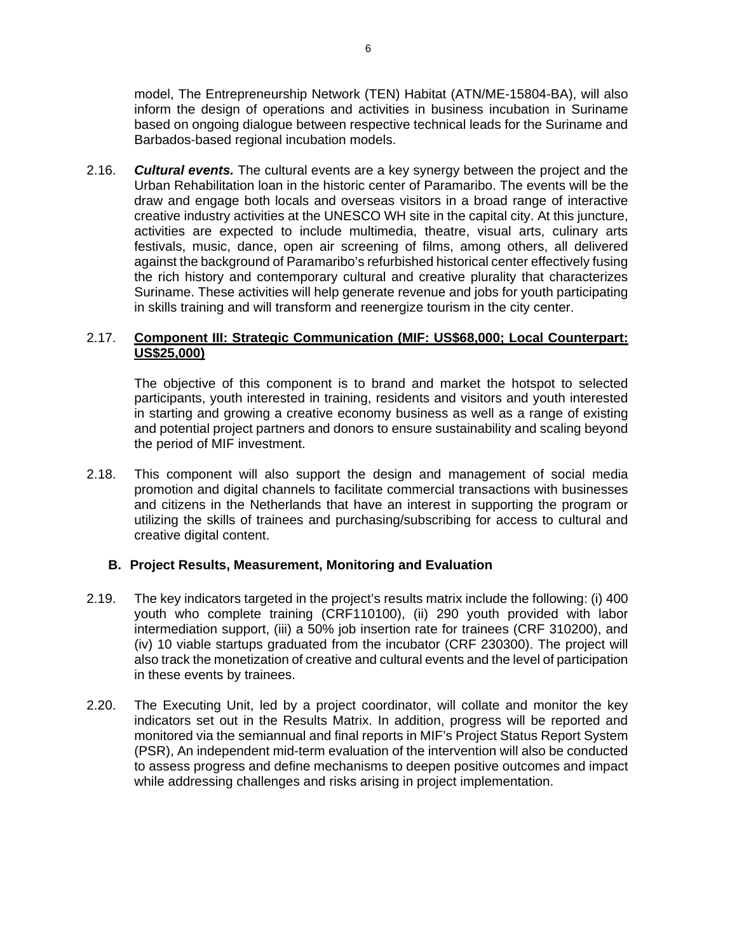model, The Entrepreneurship Network (TEN) Habitat (ATN/ME-15804-BA), will also inform the design of operations and activities in business incubation in Suriname based on ongoing dialogue between respective technical leads for the Suriname and Barbados-based regional incubation models.

2.16. *Cultural events.* The cultural events are a key synergy between the project and the Urban Rehabilitation loan in the historic center of Paramaribo. The events will be the draw and engage both locals and overseas visitors in a broad range of interactive creative industry activities at the UNESCO WH site in the capital city. At this juncture, activities are expected to include multimedia, theatre, visual arts, culinary arts festivals, music, dance, open air screening of films, among others, all delivered against the background of Paramaribo's refurbished historical center effectively fusing the rich history and contemporary cultural and creative plurality that characterizes Suriname. These activities will help generate revenue and jobs for youth participating in skills training and will transform and reenergize tourism in the city center.

#### 2.17. **Component III: Strategic Communication (MIF: US\$68,000; Local Counterpart: US\$25,000)**

The objective of this component is to brand and market the hotspot to selected participants, youth interested in training, residents and visitors and youth interested in starting and growing a creative economy business as well as a range of existing and potential project partners and donors to ensure sustainability and scaling beyond the period of MIF investment.

2.18. This component will also support the design and management of social media promotion and digital channels to facilitate commercial transactions with businesses and citizens in the Netherlands that have an interest in supporting the program or utilizing the skills of trainees and purchasing/subscribing for access to cultural and creative digital content.

#### **B. Project Results, Measurement, Monitoring and Evaluation**

- 2.19. The key indicators targeted in the project's results matrix include the following: (i) 400 youth who complete training (CRF110100), (ii) 290 youth provided with labor intermediation support, (iii) a 50% job insertion rate for trainees (CRF 310200), and (iv) 10 viable startups graduated from the incubator (CRF 230300). The project will also track the monetization of creative and cultural events and the level of participation in these events by trainees.
- 2.20. The Executing Unit, led by a project coordinator, will collate and monitor the key indicators set out in the Results Matrix. In addition, progress will be reported and monitored via the semiannual and final reports in MIF's Project Status Report System (PSR), An independent mid-term evaluation of the intervention will also be conducted to assess progress and define mechanisms to deepen positive outcomes and impact while addressing challenges and risks arising in project implementation.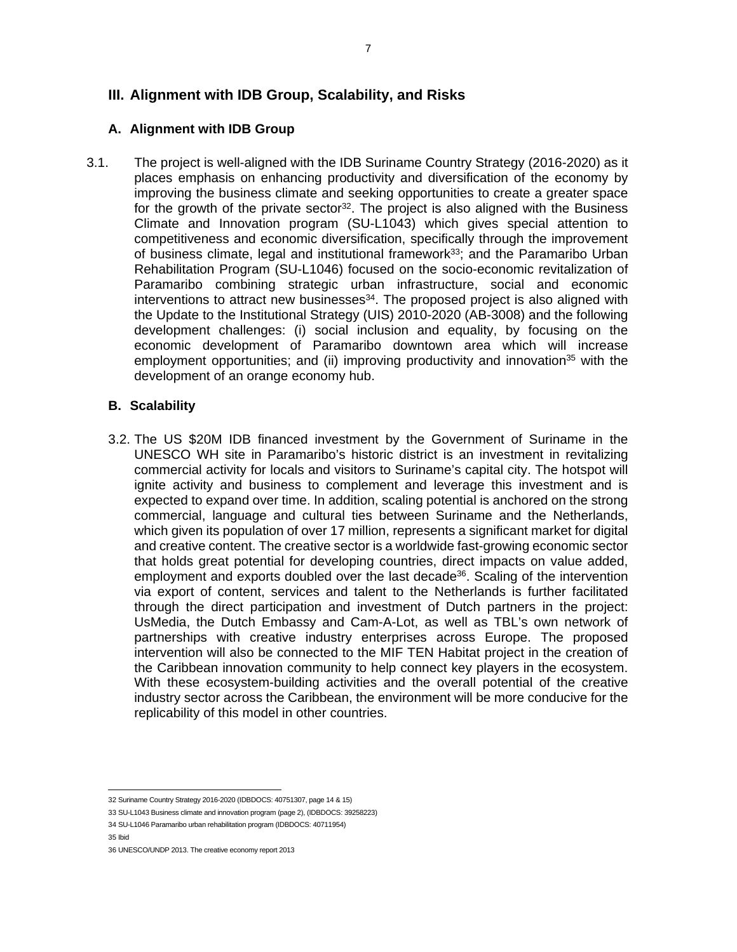### **III. Alignment with IDB Group, Scalability, and Risks**

#### **A. Alignment with IDB Group**

3.1. The project is well-aligned with the IDB Suriname Country Strategy (2016-2020) as it places emphasis on enhancing productivity and diversification of the economy by improving the business climate and seeking opportunities to create a greater space for the growth of the private sector<sup>32</sup>. The project is also aligned with the Business Climate and Innovation program (SU-L1043) which gives special attention to competitiveness and economic diversification, specifically through the improvement of business climate, legal and institutional framework<sup>33</sup>; and the Paramaribo Urban Rehabilitation Program (SU-L1046) focused on the socio-economic revitalization of Paramaribo combining strategic urban infrastructure, social and economic interventions to attract new businesses<sup>34</sup>. The proposed project is also aligned with the Update to the Institutional Strategy (UIS) 2010-2020 (AB-3008) and the following development challenges: (i) social inclusion and equality, by focusing on the economic development of Paramaribo downtown area which will increase employment opportunities; and (ii) improving productivity and innovation<sup>35</sup> with the development of an orange economy hub.

#### **B. Scalability**

3.2. The US \$20M IDB financed investment by the Government of Suriname in the UNESCO WH site in Paramaribo's historic district is an investment in revitalizing commercial activity for locals and visitors to Suriname's capital city. The hotspot will ignite activity and business to complement and leverage this investment and is expected to expand over time. In addition, scaling potential is anchored on the strong commercial, language and cultural ties between Suriname and the Netherlands, which given its population of over 17 million, represents a significant market for digital and creative content. The creative sector is a worldwide fast-growing economic sector that holds great potential for developing countries, direct impacts on value added, employment and exports doubled over the last decade<sup>36</sup>. Scaling of the intervention via export of content, services and talent to the Netherlands is further facilitated through the direct participation and investment of Dutch partners in the project: UsMedia, the Dutch Embassy and Cam-A-Lot, as well as TBL's own network of partnerships with creative industry enterprises across Europe. The proposed intervention will also be connected to the MIF TEN Habitat project in the creation of the Caribbean innovation community to help connect key players in the ecosystem. With these ecosystem-building activities and the overall potential of the creative industry sector across the Caribbean, the environment will be more conducive for the replicability of this model in other countries.

35 Ibid

 32 Suriname Country Strategy 2016-2020 (IDBDOCS: 40751307, page 14 & 15)

<sup>33</sup> SU-L1043 Business climate and innovation program (page 2), (IDBDOCS: 39258223)

<sup>34</sup> SU-L1046 Paramaribo urban rehabilitation program (IDBDOCS: 40711954)

<sup>36</sup> UNESCO/UNDP 2013. The creative economy report 2013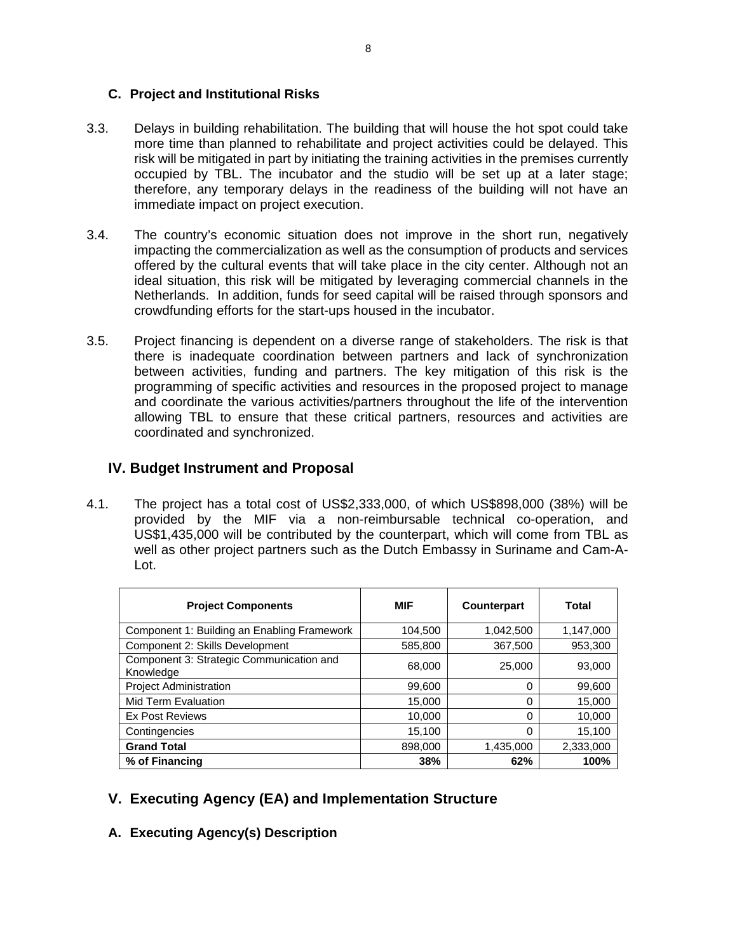#### **C. Project and Institutional Risks**

- 3.3. Delays in building rehabilitation. The building that will house the hot spot could take more time than planned to rehabilitate and project activities could be delayed. This risk will be mitigated in part by initiating the training activities in the premises currently occupied by TBL. The incubator and the studio will be set up at a later stage; therefore, any temporary delays in the readiness of the building will not have an immediate impact on project execution.
- 3.4. The country's economic situation does not improve in the short run, negatively impacting the commercialization as well as the consumption of products and services offered by the cultural events that will take place in the city center. Although not an ideal situation, this risk will be mitigated by leveraging commercial channels in the Netherlands. In addition, funds for seed capital will be raised through sponsors and crowdfunding efforts for the start-ups housed in the incubator.
- 3.5. Project financing is dependent on a diverse range of stakeholders. The risk is that there is inadequate coordination between partners and lack of synchronization between activities, funding and partners. The key mitigation of this risk is the programming of specific activities and resources in the proposed project to manage and coordinate the various activities/partners throughout the life of the intervention allowing TBL to ensure that these critical partners, resources and activities are coordinated and synchronized.

### **IV. Budget Instrument and Proposal**

4.1. The project has a total cost of US\$2,333,000, of which US\$898,000 (38%) will be provided by the MIF via a non-reimbursable technical co-operation, and US\$1,435,000 will be contributed by the counterpart, which will come from TBL as well as other project partners such as the Dutch Embassy in Suriname and Cam-A-Lot.

| <b>Project Components</b>                             | <b>MIF</b> | Counterpart | <b>Total</b> |
|-------------------------------------------------------|------------|-------------|--------------|
| Component 1: Building an Enabling Framework           | 104,500    | 1,042,500   | 1,147,000    |
| Component 2: Skills Development                       | 585,800    | 367,500     | 953,300      |
| Component 3: Strategic Communication and<br>Knowledge | 68,000     | 25,000      | 93,000       |
| <b>Project Administration</b>                         | 99,600     | O           | 99,600       |
| Mid Term Evaluation                                   | 15,000     | 0           | 15,000       |
| <b>Ex Post Reviews</b>                                | 10,000     | 0           | 10,000       |
| Contingencies                                         | 15,100     | 0           | 15,100       |
| <b>Grand Total</b>                                    | 898,000    | 1,435,000   | 2,333,000    |
| % of Financing                                        | 38%        | 62%         | 100%         |

## **V. Executing Agency (EA) and Implementation Structure**

**A. Executing Agency(s) Description**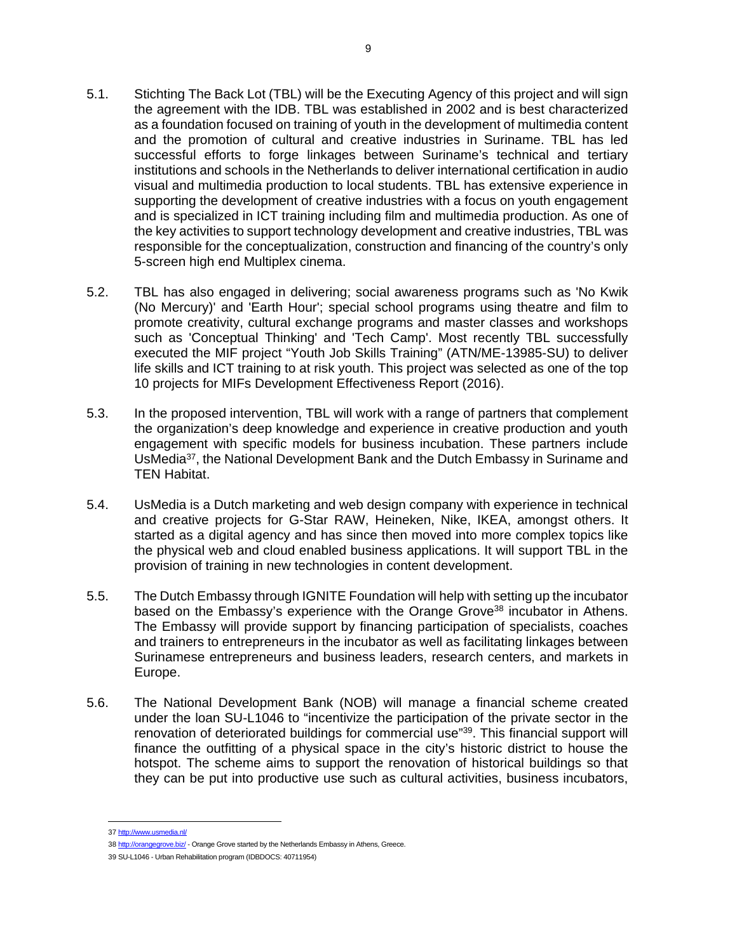- 5.1. Stichting The Back Lot (TBL) will be the Executing Agency of this project and will sign the agreement with the IDB. TBL was established in 2002 and is best characterized as a foundation focused on training of youth in the development of multimedia content and the promotion of cultural and creative industries in Suriname. TBL has led successful efforts to forge linkages between Suriname's technical and tertiary institutions and schools in the Netherlands to deliver international certification in audio visual and multimedia production to local students. TBL has extensive experience in supporting the development of creative industries with a focus on youth engagement and is specialized in ICT training including film and multimedia production. As one of the key activities to support technology development and creative industries, TBL was responsible for the conceptualization, construction and financing of the country's only 5-screen high end Multiplex cinema.
- 5.2. TBL has also engaged in delivering; social awareness programs such as 'No Kwik (No Mercury)' and 'Earth Hour'; special school programs using theatre and film to promote creativity, cultural exchange programs and master classes and workshops such as 'Conceptual Thinking' and 'Tech Camp'. Most recently TBL successfully executed the MIF project "Youth Job Skills Training" (ATN/ME-13985-SU) to deliver life skills and ICT training to at risk youth. This project was selected as one of the top 10 projects for MIFs Development Effectiveness Report (2016).
- 5.3. In the proposed intervention, TBL will work with a range of partners that complement the organization's deep knowledge and experience in creative production and youth engagement with specific models for business incubation. These partners include UsMedia37, the National Development Bank and the Dutch Embassy in Suriname and TEN Habitat.
- 5.4. UsMedia is a Dutch marketing and web design company with experience in technical and creative projects for G-Star RAW, Heineken, Nike, IKEA, amongst others. It started as a digital agency and has since then moved into more complex topics like the physical web and cloud enabled business applications. It will support TBL in the provision of training in new technologies in content development.
- 5.5. The Dutch Embassy through IGNITE Foundation will help with setting up the incubator based on the Embassy's experience with the Orange Grove<sup>38</sup> incubator in Athens. The Embassy will provide support by financing participation of specialists, coaches and trainers to entrepreneurs in the incubator as well as facilitating linkages between Surinamese entrepreneurs and business leaders, research centers, and markets in Europe.
- 5.6. The National Development Bank (NOB) will manage a financial scheme created under the loan SU-L1046 to "incentivize the participation of the private sector in the renovation of deteriorated buildings for commercial use"39. This financial support will finance the outfitting of a physical space in the city's historic district to house the hotspot. The scheme aims to support the renovation of historical buildings so that they can be put into productive use such as cultural activities, business incubators,

 $\overline{a}$ 37 http://www.usmedia.nl/

<sup>38</sup> http://orangegrove.biz/ - Orange Grove started by the Netherlands Embassy in Athens, Greece.

<sup>39</sup> SU-L1046 - Urban Rehabilitation program (IDBDOCS: 40711954)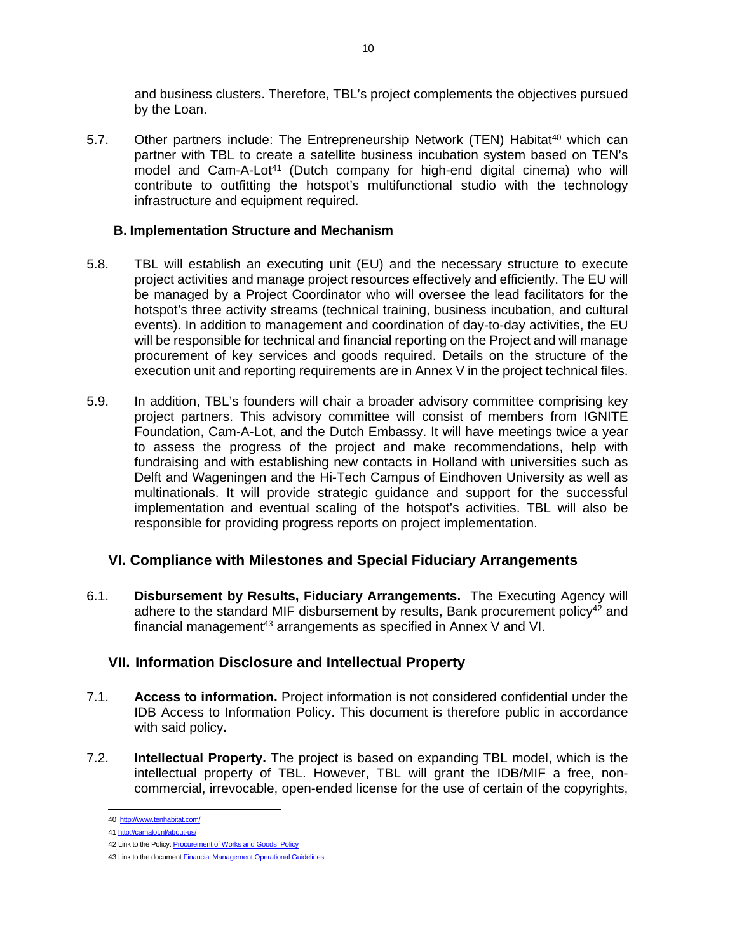and business clusters. Therefore, TBL's project complements the objectives pursued by the Loan.

5.7. Other partners include: The Entrepreneurship Network (TEN) Habitat<sup>40</sup> which can partner with TBL to create a satellite business incubation system based on TEN's model and Cam-A-Lot<sup>41</sup> (Dutch company for high-end digital cinema) who will contribute to outfitting the hotspot's multifunctional studio with the technology infrastructure and equipment required.

### **B. Implementation Structure and Mechanism**

- 5.8. TBL will establish an executing unit (EU) and the necessary structure to execute project activities and manage project resources effectively and efficiently. The EU will be managed by a Project Coordinator who will oversee the lead facilitators for the hotspot's three activity streams (technical training, business incubation, and cultural events). In addition to management and coordination of day-to-day activities, the EU will be responsible for technical and financial reporting on the Project and will manage procurement of key services and goods required. Details on the structure of the execution unit and reporting requirements are in Annex V in the project technical files.
- 5.9. In addition, TBL's founders will chair a broader advisory committee comprising key project partners. This advisory committee will consist of members from IGNITE Foundation, Cam-A-Lot, and the Dutch Embassy. It will have meetings twice a year to assess the progress of the project and make recommendations, help with fundraising and with establishing new contacts in Holland with universities such as Delft and Wageningen and the Hi-Tech Campus of Eindhoven University as well as multinationals. It will provide strategic guidance and support for the successful implementation and eventual scaling of the hotspot's activities. TBL will also be responsible for providing progress reports on project implementation.

## **VI. Compliance with Milestones and Special Fiduciary Arrangements**

6.1. **Disbursement by Results, Fiduciary Arrangements.** The Executing Agency will adhere to the standard MIF disbursement by results, Bank procurement policy<sup>42</sup> and financial management<sup>43</sup> arrangements as specified in Annex V and VI.

## **VII. Information Disclosure and Intellectual Property**

- 7.1. **Access to information.** Project information is not considered confidential under the IDB Access to Information Policy. This document is therefore public in accordance with said policy**.**
- 7.2. **Intellectual Property.** The project is based on expanding TBL model, which is the intellectual property of TBL. However, TBL will grant the IDB/MIF a free, noncommercial, irrevocable, open-ended license for the use of certain of the copyrights,

<sup>40</sup> http://www.tenhabitat.com/

<sup>41</sup> http://camalot.nl/about-us/

<sup>42</sup> Link to the Policy: Procurement of Works and Goods Policy

<sup>43</sup> Link to the document Financial Management Operational Guidelines